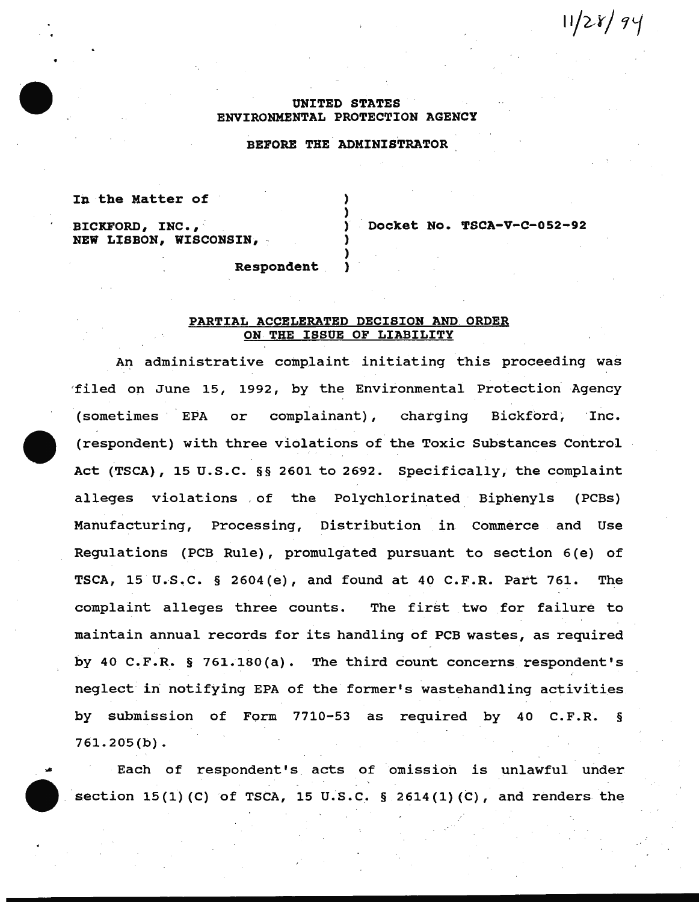# $11/28/94$

## UNITED STATES ENVIRONMENTAL PROTECTION AGENCY

## BEFORE THE ADMINISTRATOR

) )

) )

#### In the Matter of

BICKFORD, INC., NEW LISBON, WISCONSIN, - Docket No. TSCA-V-C-052-92

Respondent )

#### PARTIAL ACCELERATED DECISION AND ORDER ON THE ISSUE OF LIABILITY

An administrative complaint initiating this proceeding was 'filed on June 15, 1992, by the Environmental Protection Agency (sometimes EPA or complainant), charging Bickford, Inc. (respondent) with three violations of the Toxic Substances Control Act (TSCA}, 15 u.s.c. §§ 2601 to 2692. Specifically, the complaint alleges violations , of the Polychlorinated Biphenyls (PCBs) Manufacturing, Processing, Distribution in Commerce and Use Regulations (PCB Rule}, promulgated pursuant to section 6 (e) of TSCA, 15 U.S.C.  $\S$  2604(e), and found at 40 C.F.R. Part 761. The complaint alleges three counts. The first two for failure to maintain annual records for its handling of PCB wastes, as required by 40 C.F.R. § 761.180(a). The third count concerns respondent's neglect in notifying EPA of the former's wastehandling activities by submission of Form 7710-53 as required by 40 C.F.R. § 761.205(b).

Each of respondent's. acts of omission is unlawful under section  $15(1)$  (C) of TSCA, 15 U.S.C. § 2614(1)(C), and renders the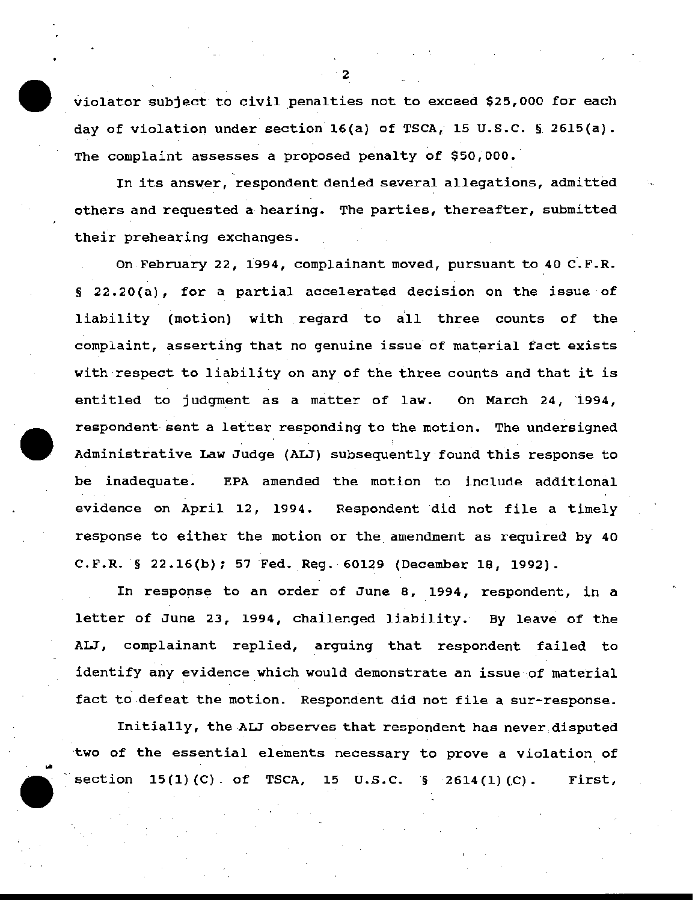violator subject to civil penalties not to exceed \$25,000 for each day of violation under section 16(a) of TSCA, 15 U.S.C. § 2615(a). The complaint assesses a proposed penalty of \$50,000.·

In its answer, respondent denied several allegations, admitted others and requested a hearing. The parties, thereafter, submitted their prehearing exchanges.

On February 22, 1994, complainant moved, pursuant to 40 C.F.R. § 22.20(a), for a partial accelerated decision on the issue of liability (motion) with regard to all three counts of the complaint, asserting that no genuine issue of material fact exists with respect to liability on any of the three counts and that it is entitled to judgment as a matter of law. On March 24, 1994, respondent sent a letter responding to the motion. The undersigned Administrative Law Judge (ALJ) subsequently found this response to be inadequate. EPA amended the motion to include additional evidence on April 12, 1994. Respondent did not file a timely response to either the motion or the amendment as required by 40  $C.F.R.$  § 22.16(b); 57 Fed. Reg. 60129 (December 18, 1992).

In response to an order of June 8, 1994, respondent, in a letter of June 23, 1994, chailenged liability. By leave of the ALJ, complainant replied, arguing that respondent failed to identify any evidence which would demonstrate an issue of material fact to. defeat the motion. Respondent did not file a sur-response.

Initially, the ALJ observes that respondent has never,disputed two of the essential elements necessary to prove a violation of  $section 15(1)(C)$  of TSCA, 15 U.S.C.  $\S$  2614(1)(C). First,

"2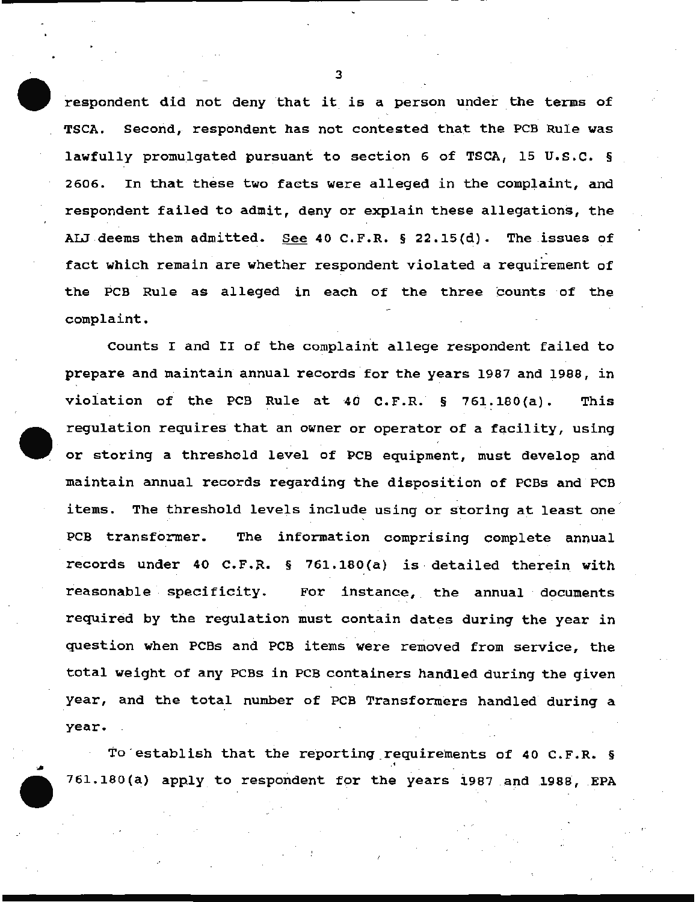respondent did not deny that it is a person under the terms of TSCA. Second, respondent has not contested that the PCB Rule was lawfully promulgated pursuant to section 6 of TSCA, 15 U.S.C. § 2606. In that these two facts were alleged in the complaint, and respondent failed to admit, deny or explain these allegations, the ALJ deems them admitted. See 40 C.F.R.  $\S$  22.15(d). The issues of fact which remain are whether respondent violated a requirement of the PCB Rule as alleged in each of the three counts of the complaint.

Counts I and II of the complaint allege respondent failed to prepare and maintain annual records for the years 1987 and 1988, in violation of the PCB Rule at 40 C.F.R.  $\S$  761.180(a). This requlation requires that an owner or operator of a facility, using or storing a threshold level of PCB equipment, must develop and maintain annual records regarding the disposition of PCBs and PCB items. The threshold levels include using or storing at least one PCB transformer. The information comprising complete annual records under 40 C.F.R.  $\S$  761.180(a) is detailed therein with reasonable specificity. For instance, the annual documents required by the regulation must contain dates during the year in question when PCBs and PCB items were removed from service, the total weight of any PCBs in PCB containers handled during the given year, and the total number of PCB Transformers handled· during a year.

To establish that the reporting requirements of 40 C.F.R. § ·' 761.180(a) apply to respondent for the years 1987 and 1988, EPA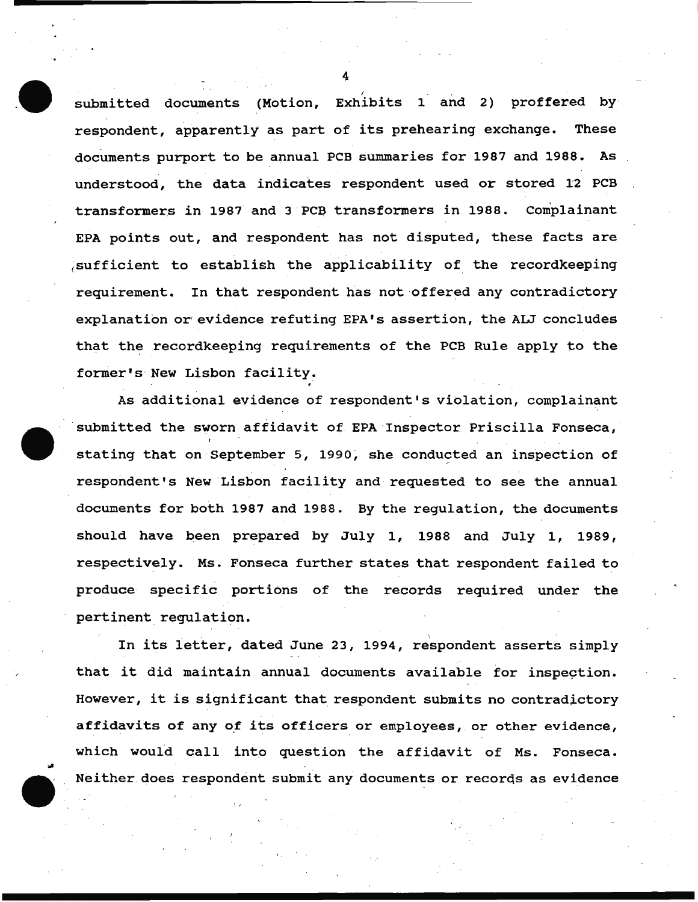submitted documents (Motion, Exhibits 1 and 2) proffered by respondent, apparently as part of its prehearing exchange. These documents purport to be annual PCB summaries for 1987 and 1988. As understood, the data indicates respondent used or stored 12 PCB transformers in 1987 and 3 PCB transformers in 1988. Complainant EPA points out, and respondent has not disputed, these facts are sufficient to establish the applicability of the recordkeeping requirement. In that respondent has not offered any contradictory explanation or evidence refuting EPA's assertion, the ALJ concludes that the recordkeeping requirements of the PCB Rule apply to the former's New Lisbon facility.

As additional evidence of respondent's violation, complainant submitted the sworn affidavit of EPA Inspector Priscilla Fonseca, stating that on September 5, 1990, she conducted an inspection of respondent's New Lisbon facility and requested to see the annual documents for both 1987 and 1988. By the regulation, the documents should have been prepared by July 1, 1988 and July 1, 1989, respectively. Ms. Fonseca further states that respondent failed to produce specific portions of the records required under the pertinent regulation.

In its letter, dated June 23, 1994, respondent asserts simply that it did maintain annual documents available for inspection. However, it is significant that respondent submits no contradictory affidavits of any of its officers or employees, or other evidence, which would call into question the affidavit of Ms. Fonseca. Neither does respondent submit any documents or records as evidence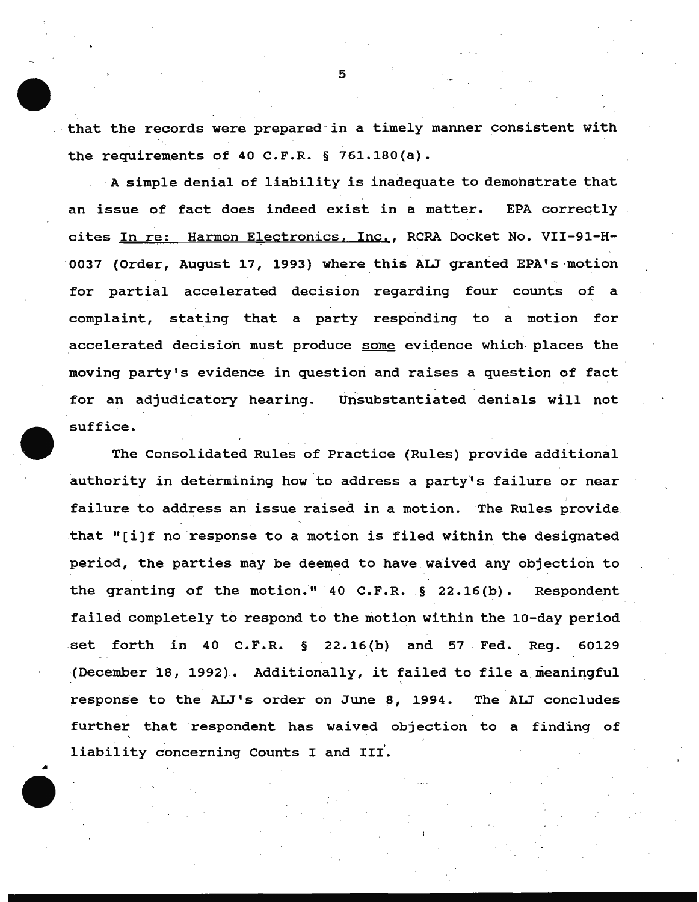that the records were prepared in a timely manner consistent with the requirements of 40 C.F.R. § 761.180(a).

A simple denial of liability is inadequate to demonstrate that an issue of fact does indeed exist in a matter. EPA correctly cites In re: Harmon Electronics, Inc., RCRA Docket No. VII-91-H-0037 (Order, August 17, 1993) where this ALJ granted EPA's motion for partial accelerated decision regarding four counts of a complaint, stating that a party responding to a motion for accelerated decision must produce some evidence which places the moving party's evidence in question and raises a question of fact for an adjudicatory hearing. Unsubstantiated denials will not suffice.

The Consolidated Rules of Practice (Rules) provide additional authority in determining how to address a party's failure or near failure to address an issue raised in a motion. The Rules provide. that "[i]f no response to a motion is filed within the designated period, the parties may be deemed to have waived any objection to the granting of the motion."  $40$  C.F.R. § 22.16(b). Respondent failed completely to respond to the motion within the 10-day period set forth in 40 C.F.R. § 22.16(b) and 57 Fed. Reg. 60129 (December 18, 1992).. Additionally, it failed to file a meaningful response to the ALJ's order on June 8, 1994. The ALJ concludes further that respondent has waived objection to a finding of liability concerning Counts I and III.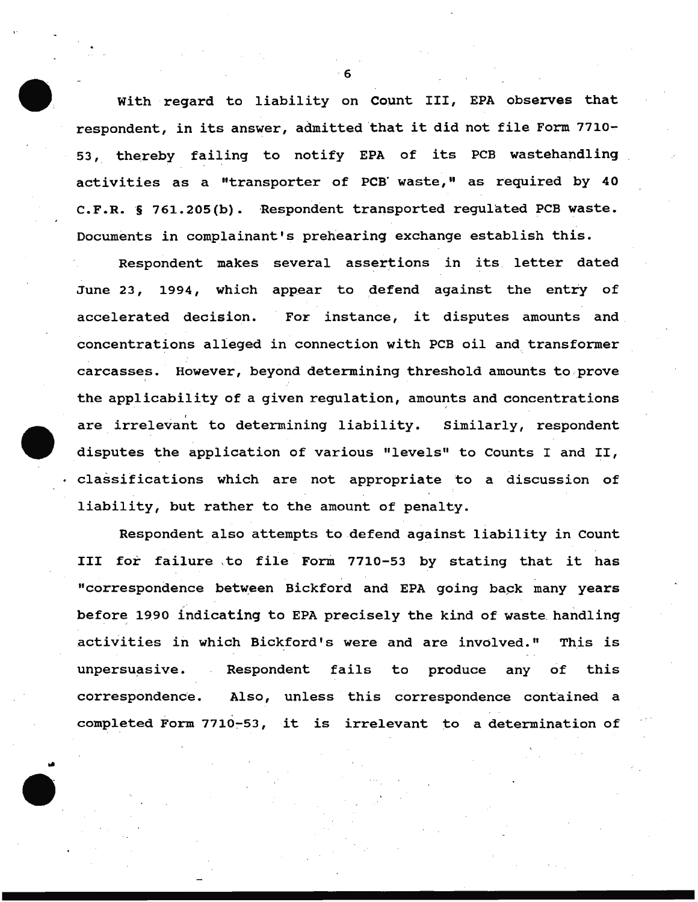with regard to liability on count III, EPA observes that respondent, in its answer, admitted that it did not file Form 7710- 53, thereby failing to notify EPA of its PCB wastehandling activities as a "transporter of PCB' waste," as required by 40 C.F.R. § 761.205(b). Respondent transported regulated PCB waste. Documents in complainant's prehearing exchange establish this.

Respondent makes several assertions in its letter dated June 23, 1994, which appear to defend against the entry of accelerated decision. For instance, it disputes amounts and concentrations alleged in connection with PCB oil and transformer carcasses. However, beyond determining threshold amounts to .prove the applicability of a given regulation, amounts and concentrations are irrelevant to determining liability. Similarly, respondent disputes the application of various "levels" to Counts I and II, classifications which are not appropriate to a discussion of liability, but rather to the amount of penalty.

Respondent also attempts to defend against liability in Count III for failure to file Form 7710-53 by stating that it has "correspondence between Bickford and EPA going back many years before 1990 indicating to EPA precisely the kind of waste handling .activities in which Bickford's were and are involved." This is unpersuasive. Respondent fails to produce any of this correspondence. Also, unless this correspondence contained a completed Form 7710~53, it is irrelevant to a determination of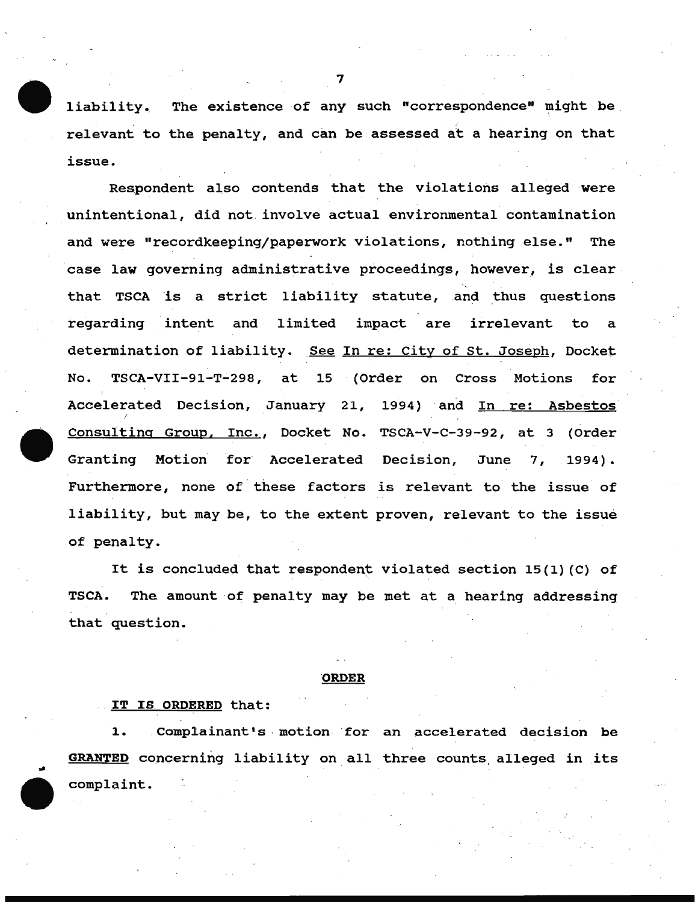liability. The existence of any such "correspondence" might be relevant to the penalty, and can be assessed at a hearing on that issue.

Respondent also contends that the violations alleged were unintentional, did not. involve actual environmental contamination and were "recordkeeping/paperwork violations, nothing else." The case law governing administrative proceedings, however, is clear that TSCA is a strict liability statute, and thus questions regarding intent and limited impact are irrelevant to a determination of liability. See In re: City of St. Joseph, Docket No. TSCA-VII-91-T-298, at 15 (Order on Cross Motions for Accelerated Decision, January 21, 1994) and In re: Asbestos Consulting Group, Inc., Docket No. TSCA-V-C-39-92, at 3 (Order Granting Motion tor Accelerated Decision, June 7, 1994) • Furthermore, none of these factors is relevant to the issue of liability, but may be, to the extent proven, relevant to the issue of penalty.

It is concluded that respondent violated section 15{1) (C) of TSCA. The amount of penalty may be met at a hearing addressing that question.

#### ORDER

#### IT IS ORDERED that:

..

1. Complainant's motion for an accelerated decision be GRANTED concerning liability on all three counts, alleged in its complaint.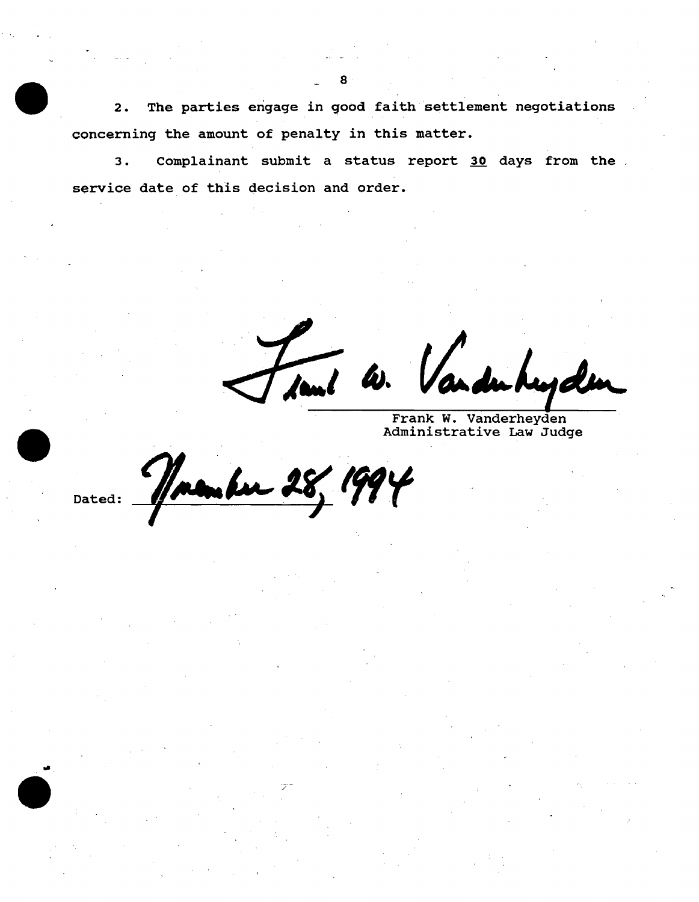2. The parties engage in 9ood faith settlement negotiations concerning the amount of penalty in this matter.

3. Complainant submit a status report 30 days from the . service date of this decision and order.

**Je.l** AI.

v.. du hujden

Frank W. Vanderheyden Administrative Law Judge

28, 1994

/

Dated:

..